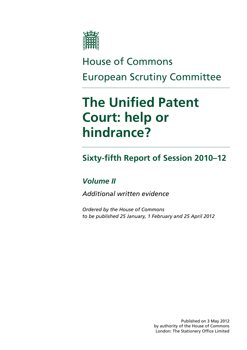

# House of Commons European Scrutiny Committee

# **The Unified Patent Court: help or hindrance?**

## **Sixty-fifth Report of Session 2010–12**

### *Volume II*

*Additional written evidence* 

*Ordered by the House of Commons to be published 25 January, 1 February and 25 April 2012* 

> Published on 3 May 2012 by authority of the House of Commons London: The Stationery Office Limited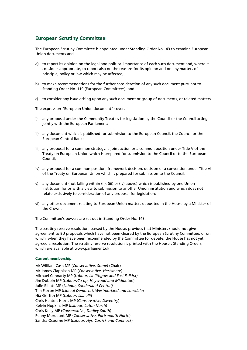#### **European Scrutiny Committee**

The European Scrutiny Committee is appointed under Standing Order No.143 to examine European Union documents and—

- a) to report its opinion on the legal and political importance of each such document and, where it considers appropriate, to report also on the reasons for its opinion and on any matters of principle, policy or law which may be affected;
- b) to make recommendations for the further consideration of any such document pursuant to Standing Order No. 119 (European Committees); and
- c) to consider any issue arising upon any such document or group of documents, or related matters.

The expression "European Union document" covers —

- i) any proposal under the Community Treaties for legislation by the Council or the Council acting jointly with the European Parliament;
- ii) any document which is published for submission to the European Council, the Council or the European Central Bank;
- iii) any proposal for a common strategy, a joint action or a common position under Title V of the Treaty on European Union which is prepared for submission to the Council or to the European Council;
- iv) any proposal for a common position, framework decision, decision or a convention under Title VI of the Treaty on European Union which is prepared for submission to the Council;
- v) any document (not falling within (ii), (iii) or (iv) above) which is published by one Union institution for or with a view to submission to another Union institution and which does not relate exclusively to consideration of any proposal for legislation;
- vi) any other document relating to European Union matters deposited in the House by a Minister of the Crown.

The Committee's powers are set out in Standing Order No. 143.

The scrutiny reserve resolution, passed by the House, provides that Ministers should not give agreement to EU proposals which have not been cleared by the European Scrutiny Committee, or on which, when they have been recommended by the Committee for debate, the House has not yet agreed a resolution. The scrutiny reserve resolution is printed with the House's Standing Orders, which are available at www.parliament.uk.

#### **Current membership**

Mr William Cash MP (*Conservative, Stone*) (Chair) Mr James Clappison MP (*Conservative, Hertsmere*) Michael Connarty MP (*Labour, Linlithgow and East Falkirk)* Jim Dobbin MP (*Labour/Co-op, Heywood and Middleton*) Julie Elliott MP (*Labour, Sunderland Central)* Tim Farron MP (*Liberal Democrat, Westmorland and Lonsdale*) Nia Griffith MP (*Labour, Llanelli*) Chris Heaton-Harris MP (*Conservative, Daventry*) Kelvin Hopkins MP (*Labour, Luton North*) Chris Kelly MP (*Conservative, Dudley South*) Penny Mordaunt MP (*Conservative, Portsmouth North*) Sandra Osborne MP (*Labour, Ayr, Carrick and Cumnock*)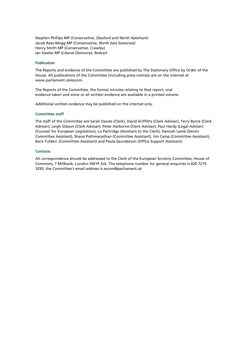Stephen Phillips MP (*Conservative, Sleaford and North Hykeham*) Jacob Rees-Mogg MP (*Conservative, North East Somerset)* Henry Smith MP (*Conservative, Crawley*) Ian Swales MP (*Liberal Democrat, Redcar*)

#### **Publication**

The Reports and evidence of the Committee are published by The Stationery Office by Order of the House. All publications of the Committee (including press notices) are on the internet at www.parliament.uk/escom.

The Reports of the Committee, the formal minutes relating to that report, oral evidence taken and some or all written evidence are available in a printed volume.

Additional written evidence may be published on the internet only.

#### **Committee staff**

The staff of the Committee are Sarah Davies (Clerk), David Griffiths (Clerk Adviser), Terry Byrne (Clerk Adviser), Leigh Gibson (Clerk Adviser), Peter Harborne (Clerk Adviser), Paul Hardy (Legal Adviser) (Counsel for European Legislation), Lis Partridge (Assistant to the Clerk), Hannah Lamb (Senior Committee Assistant), Shane Pathmanathan (Committee Assistant), Jim Camp (Committee Assistant), Baris Tufekci (Committee Assistant) and Paula Saunderson (Office Support Assistant).

#### **Contacts**

All correspondence should be addressed to the Clerk of the European Scrutiny Committee, House of Commons, 7 Millbank, London SW1P 3JA. The telephone number for general enquiries is 020 7219 3292; the Committee's email address is escom@parliament.uk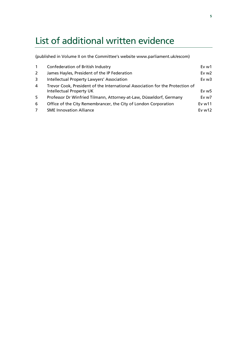## List of additional written evidence

(published in Volume II on the Committee's website www.parliament.uk/escom)

| $\overline{1}$ | Confederation of British Industry                                             | Ev <sub>w1</sub>  |
|----------------|-------------------------------------------------------------------------------|-------------------|
| 2              | James Hayles, President of the IP Federation                                  | Ev $w2$           |
| 3              | Intellectual Property Lawyers' Association                                    | Ev <sub>w3</sub>  |
| 4              | Trevor Cook, President of the International Association for the Protection of |                   |
|                | <b>Intellectual Property UK</b>                                               | Ev w5             |
| 5              | Professor Dr Winfried Tilmann, Attorney-at-Law, Düsseldorf, Germany           | Ev w7             |
| 6              | Office of the City Remembrancer, the City of London Corporation               | Ev <sub>w11</sub> |
| 7              | <b>SME Innovation Alliance</b>                                                | Ev $w12$          |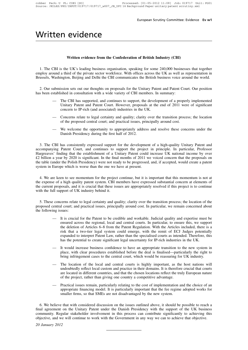### Written evidence

#### **Written evidence from the Confederation of British Industry (CBI)**

1. The CBI is the UK's leading business organisation, speaking for some 240,000 businesses that together employ around a third of the private sector workforce. With offices across the UK as well as representation in Brussels, Washington, Beijing and Delhi the CBI communicates the British business voice around the world.

2. Our submission sets out our thoughts on proposals for the Unitary Patent and Patent Court. Our position has been established in consultation with a wide variety of CBI members. In summary:

- The CBI has supported, and continues to support, the development of a properly implemented Unitary Patent and Patent Court. However, proposals at the end of 2011 were of significant concern to IP-rich (and associated) industries in the UK.
- Concerns relate to legal certainty and quality; clarity over the transition process; the location of the proposed central court; and practical issues, principally around cost.
- We welcome the opportunity to appropriately address and resolve these concerns under the Danish Presidency during the first half of 2012.

3. The CBI has consistently expressed support for the development of a high-quality Unitary Patent and accompanying Patent Court, and continues to support the project in principle. In particular, Professor Hargreaves' finding that the establishment of a Unitary Patent could increase UK national income by over £2 billion a year by 2020 is significant. In the final months of 2011 we voiced concern that the proposals on the table (under the Polish Presidency) were not ready to be progressed, and, if accepted, would create a patent system in Europe which is worse than the one we have at present.

4. We are keen to see momentum for the project continue, but it is important that this momentum is not at the expense of a high quality patent system. CBI members have expressed substantial concern at elements of the current proposals, and it is crucial that these issues are appropriately resolved if this project is to continue with the full support of UK industry behind it.

5. These concerns relate to legal certainty and quality; clarity over the transition process; the location of the proposed central court; and practical issues, principally around cost. In particular, we remain concerned about the following issues:

- It is crucial for the Patent to be credible and workable. Judicial quality and expertise must be ensured across the regional, local and central courts. In particular, to ensure this, we support the deletion of Articles 6–8 from the Patent Regulation. With the Articles included, there is a risk that a two-tier legal system could emerge, with the remit of ECJ Judges potentially expanded to interpret Patent Law, rather than the specialised courts as intended. Therefore, this has the potential to create significant legal uncertainty for IP-rich industries in the UK.
- It would increase business confidence to have an appropriate transition to the new system in place, with clear procedures established before the deal is finalised—particularly the right to bring infringement cases to the central court, which would be reassuring for UK industry.
- The location of the local and central courts is highly important, as the host nations will undoubtedly reflect local custom and practice in their domains. It is therefore crucial that courts are located in different countries, and that the chosen locations reflect the truly European nature of the project, rather than giving one country a competitive advantage.
- Practical issues remain, particularly relating to the cost of implementation and the choice of an appropriate financing model. It is particularly important that the fee regime adopted works for smaller firms, so that SMEs are not disadvantaged by the new system.

6. We believe that with considered discussion on the issues outlined above, it should be possible to reach a final agreement on the Unitary Patent under the Danish Presidency with the support of the UK business community. Regular stakeholder involvement in this process can contribute significantly to achieving this objective, and we will continue to work with the Government in any way we can to achieve that objective.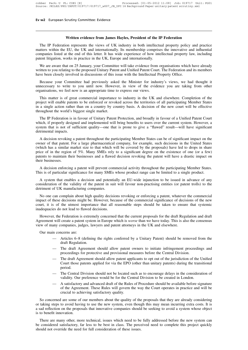#### **Written evidence from James Hayles, President of the IP Federation**

The IP Federation represents the views of UK industry in both intellectual property policy and practice matters within the EU, the UK and internationally. Its membership comprises the innovative and influential companies listed at the end of this letter. It has wide experience of how intellectual property law, including patent litigation, works in practice in the UK, Europe and internationally.

We are aware that on 25 January, your Committee will take evidence from organisations which have already written to you relating to the proposed Unitary Patent and Unified Patent Court. The Federation and its members have been closely involved in discussions of this issue with the Intellectual Property Office.

Because your Committee had previously asked the Minister for industry's views, we had thought it unnecessary to write to you until now. However, in view of the evidence you are taking from other organisations, we feel now is an appropriate time to express our views.

This matter is of great commercial importance to industry in the UK and elsewhere. Completion of the project will enable patents to be enforced or revoked across the territories of all participating Member States in a single action rather than on a country by country basis. A decision of the new court will be effective throughout the world's biggest single market.

The IP Federation is in favour of Unitary Patent Protection, and broadly in favour of a Unified Patent Court which, if properly designed and implemented will bring benefits to users over the current system. However, a system that is not of sufficient quality—one that is prone to give a "flawed" result—will have significant detrimental impacts.

A decision revoking a patent throughout the participating Member States can be of significant impact on the owner of that patent. For a large pharmaceutical company, for example, such decisions in the United States (which has a similar market size to that which will be covered by the proposals) have led to drops in share price of in the region of 5%. Many SMEs rely to a significant degree on the existence of one (or a few) patents to maintain their businesses and a flawed decision revoking the patent will have a drastic impact on their businesses.

A decision enforcing a patent will prevent commercial activity throughout the participating Member States. This is of particular significance for many SMEs whose product range can be limited to a single product.

A system that enables a decision and potentially an EU-wide injunction to be issued in advance of any consideration of the validity of the patent in suit will favour non-practising entities (or patent trolls) to the detriment of UK manufacturing companies.

No one can complain about high quality decisions revoking or enforcing a patent, whatever the commercial impact of these decisions might be. However, because of the commercial significance of decisions of the new court, it is of the utmost importance that all reasonable steps should be taken to ensure that systemic inadequacies do not lead to flawed decisions.

However, the Federation is extremely concerned that the current proposals for the draft Regulation and draft Agreement will create a patent system in Europe which is *worse* than we have today. This is also the consensus view of many companies, judges, lawyers and patent attorneys in the UK and elsewhere.

Our main concerns are:

- Articles 6–8 (defining the rights conferred by a Unitary Patent) should be removed from the draft Regulation.
- The draft Agreement should allow patent owners to initiate infringement proceedings and proceedings for protective and provisional measures before the Central Division.
- The draft Agreement should allow patent applicants to opt out of the jurisdiction of the Unified Court those patents applied for via the EPO (other than unitary patents) during the transitional period.
- The Central Division should not be located such as to encourage delays in the consideration of validity. Our preference would be for the Central Division to be created in London.
- A satisfactory and advanced draft of the Rules of Procedure should be available before signature of the Agreement. These Rules will govern the way the Court operates in practice and will be crucial to achieving satisfactory quality.

So concerned are some of our members about the quality of the proposals that they are already considering or taking steps to avoid having to use the new system, even though this may mean incurring extra costs. It is a sad reflection on the proposals that innovative companies should be seeking to avoid a system whose object is to benefit innovation.

There are many other, more technical, issues which need to be fully addressed before the new system can be considered satisfactory, far less to be best in class. The perceived need to complete this project quickly should not override the need for full consideration of these issues.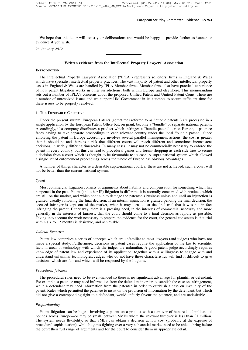We hope that this letter will assist your deliberations and would be happy to provide further assistance or evidence if you wish.

*23 January 2012*

#### **Written evidence from the Intellectual Property Lawyers' Association**

#### **INTRODUCTION**

The Intellectual Property Lawyers' Association ("IPLA") represents solicitors' firms in England & Wales which have specialist intellectual property practices. The vast majority of patent and other intellectual property cases in England & Wales are handled by IPLA Member firms. Member firms also have practical experience of how patent litigation works in other jurisdictions, both within Europe and elsewhere. This memorandum sets out a number of IPLA's concerns about the proposed Unified Patent and Unified Patent Court. There are a number of unresolved issues and we support HM Government in its attempts to secure sufficient time for these issues to be properly resolved.

#### 1. The Desirable Objective

Under the present system, European Patents (sometimes referred to as "bundle patents") are processed in a single application by the European Patent Office but, on grant, become a "bundle" of separate national patents. Accordingly, if a company distributes a product which infringes a "bundle patent" across Europe, a patentee faces having to take separate proceedings in each relevant country under the local "bundle patent". Since enforcing the patent in Europe accordingly involves several parallel infringement actions, the cost is greater than it should be and there is a risk that different courts will reach different and sometimes inconsistent decisions, in widely differing timescales. In many cases, it may not be commercially necessary to enforce the patent in every country, but this can lead to procedural games and forum-shopping as each side tries to secure a decision from a court which is thought to be favourable to its case. A supra-national system which allowed a single set of enforcement proceedings across the whole of Europe has obvious advantages.

A number of things characterise a desirable supra-national court: if these are not achieved, such a court will not be better than the current national system.

#### *Speed*

Most commercial litigation consists of arguments about liability and compensation for something which has happened in the past. Patent (and other IP) litigation is different; it is normally concerned with products which are still on the market, and which continue to damage the patentee's business unless and until an injunction is granted, usually following the final decision. If an interim injunction is granted pending the final decision, the accused infringer is kept out of the market, when it may turn out at the final trial that it was not in fact infringing the patent. Either way, there is a pressing need, in the interests of commercial necessity and more generally in the interests of fairness, that the court should come to a final decision as rapidly as possible. Taking into account the work necessary to prepare the evidence for the court, the general consensus is that trial within six to 12 months is desirable, and achievable.

#### *Judicial Expertise*

Patent law comprises a series of concepts which are unfamiliar to most lawyers (and judges) who have not made a special study. Furthermore, decisions in patent cases require the application of the law to scientific facts in areas of technology with which the judges are unfamiliar. A good patent judge accordingly requires knowledge of patent law and experience of its application, together with a willingness to engage with and understand unfamiliar technologies. Judges who do not have these characteristics will find it difficult to give decisions which are fair and which will be respected by the litigants.

#### *Procedural fairness*

The procedural rules need to be even-handed so there is no significant advantage for plaintiff or defendant. For example, a patentee may need information from the defendant in order to establish the case on infringement, while a defendant may need information from the patentee in order to establish a case on invalidity of the patent. Rules which permitted the patentee to insist on the provision of information by the defendant, but which did not give a corresponding right to a defendant, would unfairly favour the patentee, and are undesirable.

#### *Proportionality*

Patent litigation can be huge—involving a patent on a product with a turnover of hundreds of millions of pounds across Europe—or may be small, between SMEs where the relevant turnover is less than £1 million. The system needs flexibility, so that SMEs can obtain a decision at low cost (probably at the expense of procedural sophistication), while litigants fighting over a very substantial market need to be able to bring before the court their full range of arguments and for the court to consider them in appropriate detail.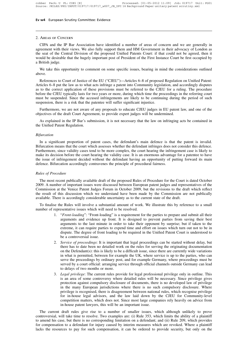#### 2. Areas of Concern

CIPA and the IP Bar Association have identified a number of areas of concern and we are generally in agreement with their views. We also fully support them and HM Government in their advocacy of London as the seat of the Central Division of the proposed Unified Patents Court: if that could not be agreed, then it would be desirable that the hugely important post of President of the First Instance Court be first occupied by a British judge.

We take this opportunity to comment on some specific issues, bearing in mind the considerations outlined above.

References to Court of Justice of the EU ("CJEU")—Articles 6–8 of proposed Regulation on Unified Patent: Articles 6–8 put the law as to what acts infringe a patent into Community legislation, and accordingly disputes as to the correct application of these provisions must be referred to the CJEU for a ruling. The procedure before the CJEU typically lasts for two years or more, during which time the proceedings in the referring court must be suspended. Since the accused infringements are likely to be continuing during the period of such suspension, there is a risk that the patentee will suffer significant injustice.

Furthermore, we are not aware of any proposals to educate CJEU judges in EU patent law, and one of the objectives of the draft Court Agreement, to provide expert judges will be undermined.

As explained in the IP Bar's submission, it is not necessary that the law on infringing acts be contained in the Unified Patent Regulation.

#### *Bifurcation*

In a significant proportion of patent cases, the defendant's main defence is that the patent is invalid. Bifurcation means that the court which assesses whether the defendant infringes does not consider this defence. Furthermore, since validity cases tend to be more complex, the court hearing the infringement case is likely to make its decision before the court hearing the validity case. It is an enormous advantage for a patentee to have the issue of infringement decided without the defendant having an opportunity of putting forward its main defence. Bifurcation accordingly contravenes the principle of procedural fairness.

#### *Rules of Procedure*

The most recent publically available draft of the proposed Rules of Procedure for the Court is dated October 2009. A number of important issues were discussed between European patent judges and representatives of the Commission at the Venice Patent Judges Forum in October 2009, but the revisions to the draft which reflect the result of this discussion which we understand have been made by the Commission are not publically available. There is accordingly considerable uncertainty as to the current state of the draft.

To finalise the Rules will involve a substantial amount of work. We illustrate this by reference to a small number of representative issues which will need to be resolved.

- 1. "*Front-loading*": "Front-loading" is a requirement for the parties to prepare and submit all their arguments and evidence up front. It is designed to prevent parties from saving their best arguments to the last minute in order to take their opponent by surprise; but if taken to the extreme, it can require parties to expend time and effort on issues which turn out not to be in dispute. The degree of front loading to be required in the Unified Patent Court is understood to be a controversial issue.
- 2. *Service of proceedings*: It is important that legal proceedings can be started without delay, but there has to date been no detailed work on the rules for serving the originating documentation on the Defendant(s): this is likely to be a difficult issue, since there are currently wide variations in what is permitted, between for example the UK, where service is up to the parties, who can serve the proceedings by ordinary post, and for example Germany, where proceedings must be served by a court official: arranging service through official channels outside Germany can lead to delays of two months or more.
- 3. *Legal privilege*: The current rules provide for legal professional privilege only in outline. This is an area of some controversy where detailed rules will be necessary. Since privilege gives protection against compulsory disclosure of documents, there is no developed law of privilege in the many European jurisdictions where there is no such compulsory disclosure. Where privilege is recognised, there is disagreement between national rules, which recognise privilege for in-house legal advisors, and the law laid down by the CJEU for Community-level competition matters, which does not. Since most large companies rely heavily on advice from in-house patent lawyers, this will be an important issue.

The current draft rules give rise to a number of smaller issues, which although unlikely to prove controversial, will take time to resolve. Two examples are: (i) Rule 353, which limits the ability of a plaintiff to amend his case, but there is no corresponding limitation on a defendant; and (ii) Rule 209, which provides for compensation to a defendant for injury caused by interim measures which are revoked. Where a plaintiff lacks the resources to pay for such compensation, it can be ordered to provide security, but only on the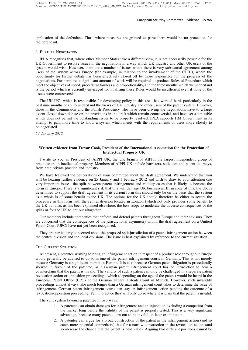application of the defendant. Thus, where measures are granted ex-parte there would be no protection for the defendant.

#### 3. Further Negotiation

IPLA recognises that, where other Member States take a different view, it is not necessarily possible for the UK Government to resolve issues in the negotiations in a way which UK industry and other UK users of the system would wish. However, there are a number of issues where there is very substantial agreement among users of the system across Europe (for example, in relation to the involvement of the CJEU), where the opportunity for further debate has been effectively closed off by those responsible for the progress of the negotiations. Furthermore, a significant amount of work will be required to produce Rules of Procedure which meet the objectives of speed, procedural fairness and proportionality, and the three months which we understand is the period which is currently envisaged for finalising these Rules would be insufficient even if none of the issues were controversial.

The UK IPO, which is responsible for developing policy in this area, has worked hard, particularly in the past nine months or so, to understand the views of UK Industry and other users of the patent system. However, those in the Commission and the Polish Presidency who have been driving the negotiations have to a large extent closed down debate on the provisions in the draft which remain controversial, and have set a timetable which does not permit the outstanding issues to be properly resolved. IPLA supports HM Government in its attempt to gain more time to allow a system which meets with the requirements of users more closely to be negotiated.

*24 January 2012*

#### **Written evidence from Trevor Cook, President of the International Association for the Protection of Intellectual Property UK**

I write to you as President of AIPPI UK, the UK branch of AIPPI, the largest independent group of practitioners in intellectual property. Members of AIPPI UK include barristers, solicitors and patent attorneys, from both private practice and industry.

We have followed the deliberations of your committee about the draft agreement. We understand that you will be hearing further evidence on 25 January and 1 February 2012 and wish to draw to your attention one very important issue—the split between patent infringement and validity cases that is likely to become the norm in Europe. There is a significant risk that this will damage UK businesses. If, in spite of this, the UK is determined to support the draft agreement in its current form this should only be on the basis that the system as a whole is of some benefit to the UK. The options for the UK should therefore be either to accept the procedure in this form with the central division located in London (which not only provides some benefit to the UK but also, as has been explained elsewhere, the best scope to moderate the adverse consequences of the split) or for the UK to opt out altogether.

Our members include companies that enforce and defend patents throughout Europe and their advisors. They are concerned that the consequences of the jurisdictional asymmetry within the draft agreement on a Unified Patent Court (UPC) have not yet been recognised.

They are particularly concerned about the proposed split jurisdiction of a patent infringement action between the central division and the local divisions. The issue is best explained by reference to the current situation.

#### THE CURRENT SITUATION

At present, a patentee wishing to bring an infringement action in respect of a product sold throughout Europe would generally be advised to do so in one of the patent infringement courts in Germany. This is not merely because Germany is a significant market in Europe. It is also because German patent litigation is procedurally skewed in favour of the patentee, as a German patent infringement court has no jurisdiction to hear a counterclaim that the patent is invalid. The validity of such a patent can only be challenged in a separate patent revocation action or opposition proceedings, which (depending on the age of the patent) would be heard in the European Patent Office (EPO) or the German Federal Patents Court in Munich. However, such invalidity proceedings almost always take much longer than a German infringement court takes to determine the issue of infringement. German patent infringement courts can stay an infringement action pending the outcome of a revocation/opposition proceeding. Yet, in practice they will only do so where it is plain that the patent is invalid.

The split system favours a patentee in two ways:

- 1. A patentee can obtain damages for infringement and an injunction excluding a competitor from the market long before the validity of the patent is properly tested. This is a very significant advantage, because many patents turn out to be invalid on later examination.
- 2. A patentee can argue for a broad construction of the patent in the infringement action (and so catch more potential competitors), but for a narrow construction in the revocation action (and so increase the chance that the patent is held valid). Arguing two different positions cannot be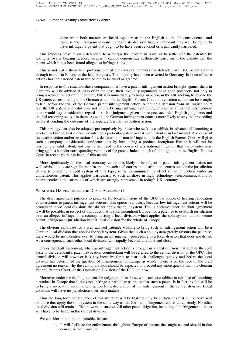done when both matters are heard together, as in the English courts. In consequence, and because the infringement court comes to its decision first, a defendant may well be found to have infringed a patent that ought to be have been revoked or significantly narrowed.

This imposes pressure on a defendant to withdraw the product in issue, or to settle with the patentee by taking a royalty bearing licence, because it cannot demonstrate sufficiently early on in the dispute that the patent which it has been found alleged to infringe is invalid.

This is not just a theoretical problem: one of our industry members has defended over 100 patent actions through to trial in Europe in the last five years. The majority have been asserted in Germany. In none of those actions has the asserted patent turned out to be valid as granted.

In response to this situation those companies that have a patent infringement action brought against them in Germany will be advised if, as is often the case, their invalidity arguments have good prospects, not only to bring a revocation action in Germany, but also immediately to bring an action in the UK seeking to revoke the UK patent corresponding to the German patent. In the English Patents Court, a revocation action can be brought to trial before the trial of the German patent infringement action. Although a decision from an English court that the UK patent is invalid does not bind a German infringement court, in practice a German infringement court would pay considerable regard to such a judgment, given the respect accorded English judgments and the full reasoning set out in them. As such, the German infringement court is more likely to stay the proceeding before it pending the outcome of the separate German revocation action.

This strategy can also be adopted pre-emptively by those who seek to establish, in advance of launching a product in Europe, that it does not infringe a particular patent or that such patent is in fact invalid. A successful revocation action and/or an action for a declaration of non-infringement in the English Patents Court will give such a company considerable confidence that by introducing a product throughout Europe it will not be infringing a valid patent, and can be deployed in the course of any national litigation that the patentee may bring against it under corresponding versions of the patent. Indeed, much of the litigation in the English Patents Court in recent years has been of this nature.

More significantly for the local economy, companies likely to be subject to patent infringement claims are well advised to locate significant infrastructure such as factories and distribution centres outside the jurisdiction of courts operating a split system of this type, so as to minimise the effect of an injunction under an unmeritorious patent. This applies particularly to such as those in high technology, telecommunications or pharmaceuticals industries, all of which are strongly represented in today's UK economy.

#### WHAT WILL HAPPEN UNDER THE DRAFT AGREEMENT?

The draft agreement purports to preserve for local divisions of the UPC the option of hearing revocation counterclaims to patent infringement actions. This option is illusory, because few infringement actions will be brought in those local divisions that do not apply the split system. This is because under the draft agreement it will be possible, in respect of a product that is sold throughout Europe, for a patentee to establish jurisdiction over an alleged infringer in a country hosting a local division which applies the split system, and so secure patent infringement jurisdiction in that local division for the whole of Europe.

The obvious candidate for a well advised patentee wishing to bring such an infringement action will be a German local division that applies the split system. Given that such a split system greatly favours the patentee, there would be no incentive ever to bring an infringement proceeding in a local division that does not do so. As a consequence, such other local divisions will rapidly become unviable and close.

Under the draft agreement, when an infringement action is brought in a local division that applies the split system, the defendant's patent revocation counterclaim will be referred to the central division of the UPC. The central division will however lack any incentive for it to hear such challenges quickly and before the local division has determined the question of infringement for Europe as whole. There is on the face of the draft agreement no reason why the central division should be expected to proceed any more quickly than the German Federal Patents Court, or the Opposition Division of the EPO, do now.

Moreover under the draft agreement the only option for those who seek to establish in advance of launching a product in Europe that it does not infringe a particular patent or that such a patent is in fact invalid will be to bring a revocation action and/or action for a declaration of non-infringement in the central division. Local divisions will have no jurisdiction over such matters.

Thus the long term consequence of this structure will be that the only local divisions that will survive will be those that apply the split system in the same way as the German infringement courts do currently. No other local division will retain sufficient work to survive. All other patent litigation, including all infringement actions will have to be heard in the central division.

We consider this to be undesirable, because:

1. It will facilitate the enforcement throughout Europe of patents that ought to, and should in due course, be held invalid.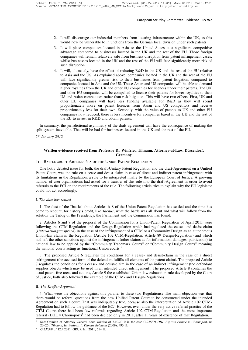- 2. It will discourage our industrial members from locating infrastructure within the UK, as this would now be vulnerable to injunctions from the German local division under such patents.
- 3. It will place competitors located in Asia or the United States at a significant competitive advantage compared to businesses located in the UK and the rest of the EU. Those foreign companies will remain relatively safe from business disruption from patent infringement cases, whilst businesses located in the UK and the rest of the EU will face significantly more risk of such disruption.
- 4. It will, ultimately, have the effect of reducing R&D in the UK and the rest of the EU relative to Asia and the US. As explained above, companies located in the UK and the rest of the EU will face significantly greater risk to their businesses from patent litigation, compared to companies located in Asia and the US. Those Asian and US companies will be able to demand higher royalties from the UK and other EU companies for licences under their patents. The UK and other EU companies will be compelled to license their patents for lower royalties to their US and Asian competitors rather than risk litigation. This will have two effects. First, UK and other EU companies will have less funding available for R&D as they will spend proportionately more on patent licences from Asian and US competitors and receive proportionately less for their own. Secondly, with the value of patents to UK and other EU companies now reduced, there is less incentive for companies based in the UK and the rest of the EU to invest in R&D and obtain patents.

In summary, the jurisdictional asymmetry of the draft agreement will have the consequence of making the split system inevitable. That will be bad for businesses located in the UK and the rest of the EU.

*23 January 2012*

#### **Written evidence received from Professor Dr Winfried Tilmann, Attorney-at-Law, Düsseldorf, Germany**

The Battle about Articles 6–8 of the Union-Patent-Regulation

One hotly debated issue for both, the draft-Unitary Patent Regulation and the draft-Agreement on a Unified Patent Court, was the rule on a cease-and-desist-claim in case of direct and indirect patent infringement with its limitations in the Regulation, a rule to be interpreted finally by the European Court of Justice. A growing number of user organizations had asked for a transfer of this rule into the draft-Agreement in order to avoid referrals to the ECJ on the requirements of the rule. The following article tries to explain why the EU legislator could not act accordingly.

#### I. *The dust has settled*

1. The dust of the "battle" about Articles 6–8 of the Union-Patent-Regulation has settled and the time has come to recount, for history's profit, like *Tacitus*, what the battle was all about and what will follow from the solution the Trilog of the Presidency, the Parliament and the Commission has found.

2. Articles 6 and 7 of the proposal of the Commission for a Union-Patent Regulation of April 2011 were following the CTM-Regulation and the Design-Regulation which had regulated the cease- and desist-claim (*Unterlassungsanspruch*) in the case of the infringement of a CTM or a Community Design as an autonomous Union-law claim in the Regulation (Article 102 CTM-Regulation; Article 89 Design-Regulation) and which had left the other sanctions against the infringement (other claims as for information, damages, publication) to national law to be applied by the "Community Trademark Courts" or "Community Design Courts" meaning the national courts acting as functional Union courts.<sup>1</sup>

3. The proposed Article 6 regulates the conditions for a cease- and desist-claim in the case of a direct infringement (the accused form of the defendant fulfills all elements of the patent claim). The proposed Article 7 regulates the conditions for a cease- and desist-claim in the case of an indirect infringement (the defendant supplies objects which may be used in an intended direct infringement). The proposed Article 8 containes the usual patent-free areas and actions, Article 9 the established Union-law exhaustion-rule developed by the Court of Justice, both also followed the example of the CTM- and Design-Regulations.

#### II. *The Kraßer-Argument*

4. What were the objections against this parallel to these two Regulations? The main objection was that there would be referral questions from the new Unified Patent Court to be constructed under the intended Agreement on such a court. That was indisputably true, because also the interpretation of Article 102 CTM-Regulation had to follow the guidance of the ECJ. However, even under the very active referral-practice of the CTM Courts there had been few referrals regarding Article 102 CTM-Regulation and the most important referral (DHL v Chronopost)<sup>2</sup> had been decided only in 2011, after 11 years of existence of that Regulation.

<sup>1</sup> See: Opinion of Attorney General *Cruz Villalón* of 7.10.2010 in the case C-235/09 *DHL Express France v. Chronopost*, nr 20–26.: *Tilmann*, in: Festschrift *Thomas Reimann* (2009), 493 ff.

<sup>2</sup> *C-235/09* of 12.4.2011, GRUR Int. 2011, 514 ff.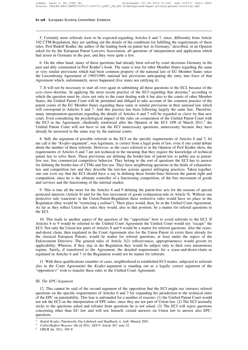5. Certainly more referrals were to be expected regarding Articles 6 and 7, since, differently from Article 102 CTM-Regulation, they are spelling out the details of the conditions for fulfilling the requirements of these rules. Prof Rudolf Kraßer, the author of the leading book on patent law in Germany,<sup>3</sup> described, in an Opinion asked for by the European Patent Lawyers Association, all questions of interpretation and application which had arisen in Germany in the past, and they were quite a few.

6. On the other hand, many of these questions had already been solved by court decisions Germany in the past and ably commented in Prof Kraßer's book. The same is true for other Member States regarding the same or very similar provisions which had been common property of the national law of EU Member States since the Luxembourg Agreement of 1985/1989, national law provisions anticipating the entry into force of that Agreement which, unfortunately, never happened (five states not ratifying it).

7. It will not be necessary to start all over again in submitting all these questions to the ECJ, because of the *acte-claire*-doctrine. In applying the most recent practice of the ECJ regarding that doctrine,<sup>4</sup> according to which the question must be *claire* not only to the court dealing with it but also to the courts of other Member States, the Unified Patent Court will be permitted and obliged to take account of the common practice of the patent courts of the EU Member States regarding these same or similar provisions in their national law which will correspond to Articles 6 and 7. And this practice has been following largely the same line. Therefore, many interpretation-questions regarding the details of Articles 6 and 7 will be regarded as *claire* by that new court. Even considering the psychological impact of the rules on cooperation of the Unified Patent Court with the ECJ in the Agreement, obediently reinforced after the Opinion of the ECJ  $1/09$  of March 2011,<sup>5</sup> the Unified Patent Court will not have to ask the ECJ unnecessary questions, unnecessary because they have already be answered in the same way by the national courts.

8. Still, the argument of possible referrals to the ECJ on the specific requirements of Articles 6 and 7, let me call it the "*Kraßer*-argument", was legitimate, ie correct from a legal point of law, even if one could debate about the number of these referrals. However, as the cases referred to in the Opinion of Prof Kraßer show, the requirements of Articles 6 and 7 are not technical in the meaning that they require the knowledge of technical patent law to solve them. These provisions are defining the border-line of patent-law to public use ie patentfree use, free commercial competitive behavior. They belong to the sort of questions the ECJ has to answer for defining the border-line of CTMs and free use. They have neighboring questions in the fields of exhaustionlaw and competition law and they describe the tort-law actions against infringing practices. Taken together, one can even say that the ECJ should have a say in defining these border-lines between the patent right and competition, since he is the ultimate controller of a functioning competition, of the free movement of goods and services and the functioning of the internal market.

9. This is true all the more for the Articles 8 and 9 defining the patent-free acts for the reasons of special protected interests (Article 8) and for the free movement of goods (exhaustion-rule in Article 9). Without one protective rule (sanction) in the Union-Patent-Regulation these restrictive rules would have no place in the Regulation (they would be "restricting a *nullum*"). Their place would, then, be in the Unified Court Agreement. As far as they reflect Union law rules they would, also in that position, be a matter for referral questions to the ECJ.

10. This leads to another aspect of the question of the "opposition" how to avoid referrals to the ECJ. If Articles 6 to 9 would be referred to the Unified Court Agreement the Unified Court would not "escape" the ECJ: Not only the Union-law parts of Articles 8 and 9 would be a matter for referral questions. Also the ceaseand-desist claim, then regulated in the Court Agreement also for the Union Patent (it exists there already for the classical European Patent), would be matter for referral questions, at least under the aspect of the Enforcement Directive. The general rules of Article 3(2) (effectiveness, appropriateness) would govern its applicability. Whereas, if they stay in die Regulation they would be subject only to their own autonomous regime. Surely, if transferred to the Agreement, the detailed requirements for a cease-and-desist-claim as regulated in Articles 6 and 7 of the Regulation would not be matter for referrals.

11. With these qualifications (number of cases, neighborhood to established ECJ-matter, subjected to referrals also in the Court Agreement) the *Kraßer*-argument is standing out as a legally correct argument of the "opposition's" wish to transfer these rules to the Unified Court Agreement.

#### III. *The EPC-Argument*

12. This cannot be said of the second argument of the opposition that the ECJ might use (misuse) referral questions on the specific requirements of Articles 6 and 7 for expanding his jurisdiction to the technical rules of the EPC on patentability. This fear is unfounded for a number of reasons: (1) the Unified Patent Court would not ask the ECJ on the interpretation of EPC-rules, since they are not part of Union-law. (2) The ECJ normally sticks to the questions asked and refrains from questions he is not asked. (3) The ECJ will reject questions concerning other than EU law and will not, himself, extend answers on Union law to answer also EPCquestions.

<sup>3</sup> *Rudolf Kraßer*, Patentrecht, Ein Lehrbuch und Handbuch, 4. Aufl. Munich 2001.

<sup>4</sup> *Callies/Ruffert-Wegener,* 4th ed 2011, AEUV Article 267, note 32.

<sup>5</sup> GRUR Int. 2011, 309 ff.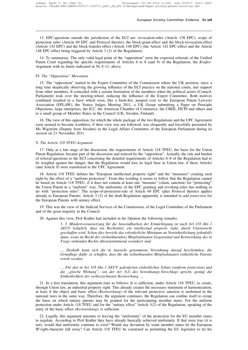13. EPC-questions outside the jurisdiction of the ECJ are: revocation-rules (Article 138 EPC), scope of protection rules (Article 69 EPC and Protocol thereto), the block-grant-effect and the block-revocation-effect (Article 142 EPC) and the block-transfer-effect (Article 148 EPC) (the Article 142 EPC-effect and the Article 148 EPC-effect being triggered by Article 3 (2) of the Regulation).

14. To summarize: The only valid legal point of the "opposition" were the expected referrals of the Unified Patent Court regarding the specific requirements of Articles 6 to 8 (and 9) of the Regulation, the *Kraßer*-Argument with its limits indicated in Nr 4–11, above.

#### IV. *The "Opposition" Movement*

15. The "opposition" started in the Expert Committee of the Commission where the UK position, since a long time skeptically observing the growing influence of the ECJ practice on the national courts, met support from other members. It coincided with a certain frustration of the members when the political actors (Council, Parliament) took over the steering-wheel, reducing the influence of the Expert Committee. Both motives combined resulted in a furor which soon, like a bush-fire, jumped over to the European Patent Lawyers Association (EPLAW), the Venice Judges Meeting 2011, a UK Group submitting a Paper on Principle Objections, large enterprises, the ICC, the American Chamber of Commerce, the CBEE, FICPI and others and to a small group of Member States in the Council (UK, Sweden, Finland).

16. The view of this opposition, for which the whole package of the two Regulations and the UPC Agreement soon seemed to become worthless, if their view was not followed, was eloquently and forcefully presented by Ms Wigström (Deputy from Sweden) in the Legal Affairs Committee of the European Parliament during its session on 21 November 2011.

#### V. *The Article 118 TFEU-Argument*

17. Only at a late stage of the discussion, the requirements of Article 118 TFEU, the basis for the Union Patent Regulation, became part of the discussion and noticed by the "opposition". Actually, the risk and burden of referral-questions to the ECJ concerning the detailed requirements of Articles 6–8 of the Regulation had to be weighed against the danger, that the Regulation would lose its legal base in Union law, if these Articles (and Article 9) were transferred to the UPC Agreement.

18. Article 118 TFEU defines the "European intellectual property right" and the "measures" creating such right by the effect of a "uniform protection". From this wording it seems to follow that the Regulation cannot be based on Article 118 TFEU, if it does not contain at least one "measure" (claim, sanction) for "protecting" the Union Patent in a "uniform" way. The uniformity of the EPC granting and revoking-rules has nothing to do with "protection rules". The scope-of-protection-rule of Article 69 EPC (plus Protocol thereto) applies already to European Patents. Article 3 (2) of the draft-Regulation apparently is intended to *add protection* for the European Patents with unitary effect.

19. This was the view of the Judicial Services of the Commission, of the Legal Committee of the Parliament and of the great majority in the Council.

20. Against this view, Prof Kraßer had included in his Opinion the following remarks:

3. *3. Mindestvoraussetzung für die Anwendbarkeit der Ermächtigung ist nach Art 118 Abs 1 AEUV lediglich, dass ein Rechtstitel, ein intellectual property right, durch Unionsrecht geschaffen wird. Schon dies bewirkt das erforderliche Minimum an Vereinheitlichung jedenfalls dann, wenn im Recht der (teilnehmenden) Mitgliedstaaten Gegenstand und Kernwirkung des in Frage stehenden Rechts übereinstimmend verankert sind.*

*… Deshalb kann sich die in Aussicht genommene Verordnung darauf beschränken, die Grundlage dafür zu schaffen, dass für die teilnehmenden Mitgliedstaaten einheitliche Patente erteilt werden.*

*… Für den in Art 118 Abs 1 AEUV geforderten einheitlichen Schutz (uniform protection) und die "gleiche Wirkung", von der Art 3(2) des Verordnungs-Vorschlags spricht, genügt die Einheitlichkeit der vorbezeichneten Kernwirkung* …

21. In a free translation, this argument runs as follows: It is sufficient, under Article 118 TFEU, to create, through Union law, an industrial property right. This already creates the necessary minimum of harmonization, at least if the object and basic effect (*Kernwirkung*) of the relevant protective sanction is enshrined in the national laws in the same way. Therefore, the argument continues, the Regulation can confine itself to create the basis on which unitary patents may be granted for the participating member states. For the uniform protection under Article 118 TFEU and for the "unitary effect" Article 3(2) of the Regulation, speaking of the unity of the basic effect (*Kernwirkung*), is sufficient.

22. Legally, this argument amounts to leaving the "uniformity" of the protection for the EU member states to regulate. According to Prof Kraßer they have already basically achieved uniformity. If that were true (it is not), would that uniformity continue to exist? Would any deviation by some member states let the European IP-right-character fall away? Can Article 118 TFEU be construed as permitting the EU legislator to let his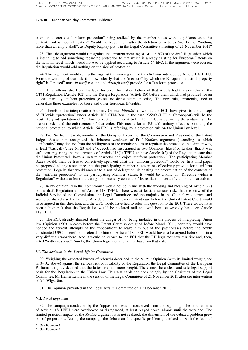intention to create a "uniform protection" being realized by the member states without guidance as to its contents and without obligation? Would the Regulation, after the deletion of Articles 6–8, be not "nothing more than an empty shell", as Deputy Rapkay put it in the Legal Committee's meeting of 21 November 2011?

23. The said argument would run against the apparent meaning of Article 3(2) of the draft-Regulation which is intending to add something regarding protection to that which is already existing for European Patents on the national level which would have to be applied according to Article 64 EPC. If the argument were correct, the Regulation would add nothing on the side of protection.

24. This argument would run further against the wording of and the *effet utile* intended by Article 118 TFEU. From the wording of that rule it follows clearly that the "measure" by which the European industrial property right" is "created" must *in itself* contain and *through itself* provide for a "uniform protection".

25. This follows also from the legal history: The Lisbon fathers of that Article had the examples of the CTM-Regulation (Article 102) and the Design-Regulation (Article 89) before them which had provided for an at least partially uniform protection (cease and desist claim or order). The new rule, apparently, tried to generalize these examples for these and other European IP-rights.

26. Therefore, the interpretation Attorney General *Villalón*<sup>6</sup> as well as the ECJ<sup>7</sup> have given to the concept of EU-wide "protection" under Article 102 CTM-Reg. in the case 235/09 (DHL v Chronopost) will be the most likely interpretation of "uniform protection" under Article. 118 TFEU: safeguarding the unitary right by a court order and the enforcement of that order. This means for an EP with unitary effect: substituting the national protection, to which Article. 64 EPC is referring, by a protection rule on the Union law level.

27. Prof Sir Robin Jacob, member of the Group of Experts of the Commission and President of the Patent Judges Association recognized the inherent weakness of Prof Kraßers argument (according to which "uniformity" may depend from the willingness of the member states to regulate the protection in a similar way, at least "basically", see Nr 23 and 24). Jacob had first argued in two Opinions (like Prof Kraßer) that it was sufficient, regarding the requirements of Article 118(1) TFEU, to have Article 3(2) of the Regulation state that the Union Patent will have a unitary character and enjoy "uniform protection". The participating Member States would, then, be free to collectively spell out what the "uniform protection" would be. In a third paper he proposed adding a sentence that the participating member states must collectively provide for a uniform protection. Legally, that would amount to a sort of delegation: delegating the determination of the contents of the "uniform protection" to the participating Member States. It would be a kind of "Directive within a Regulation" without at least indicating the necessary contents of its realization, certainly a bold construction.

28. In my opinion, also this compromise would not be in line with the wording and meaning of Article 3(2) of the draft-Regulation and of Article 118 TFEU. There was, at least, a serious risk, that the view of the Judicial Service of the Commission, the Legal Committee and the majority in the Council was correct and would be shared also by the ECJ. Any defendant in a Union Patent case before the Unified Patent Court would have argued in this direction, and the UPC would have had to refer this question to the ECJ. There would have been a high risk that the Regulation would be declared null and void because wrongly based on Article 118 TFEU.

29. The ECJ, already alarmed about the danger of not being included in the process of interpreting Union law (Opinion 1/09) in cases before the Patent Court as designed before March 2011, certainly would have noticed the fervent attempts of the "opposition" to leave him out of the patent-cases before the newly constructed UPC. Therefore, a referral to him on Article 118 TFEU would have to be argued before him in a very difficult atmosphere. And it would be known to the ECJ that the EU legislator saw this risk and, then, acted "with eyes shut". Surely, the Union legislator should not have run that risk.

#### VI. *The decision in the Legal Affairs Committee*

30. Weighing the expected burden of referrals described in the *Kraßer*-Opinion (with its limited weight, see nr 3–10, above) against the serious risk of invalidity of the Regulation the Legal Committee of the European Parliament rightly decided that the latter risk had more weight: There must be a clear and safe legal support basis for the Regulation in the Union Law. This was explained convincingly by the Chairman of the Legal Committee, Mr Heiner Lehne in the session of the Legal Committee of 21 November 2011 after the intervention of Ms Wigström.

31. This opinion prevailed in the Legal Affairs Committee on 19 December 2011.

#### VII. *Final appraisal*

32. The campaign conducted by the "opposition" was ill conceived from the beginning. The requirements of Article 118 TFEU were overlooked or disregarded, at least played down, almost until the very end. The limited practical impact of the *Kraßer-*argument was not realized; the dimension of the debated problem grew out of proportions. During the campaign the debate on this specific problem got mixed up with the fears of

See Footnote 1.

See Footnote 2.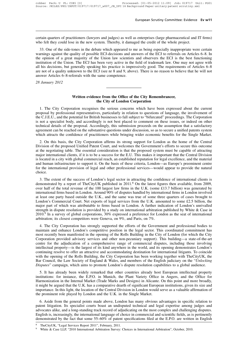certain quarters of practitioners (lawyers and judges) as well as enterprises (large pharmaceutical and IT firms) who felt they could lose in the new system. Thereby, it damaged the credit of the whole project.

33. One of the side-tones in the debate which appeared to me as being especially inappropriate were certain warnings against the quality of possible ECJ-decisions and answers of the ECJ to referrals on Articles 6–8. In the opinion of a great majority of the Union law scientists and observers the ECJ is the best functioning institution of the Union. The ECJ has been very active in the field of trademark law. One may not agree with all his decisions, but generally speaking his practice is impressively good. The requirements of Articles 6–8 are not of a quality unknown to the ECJ (see nr 8 and 9, above). There is no reason to believe that he will not answer Articles 6–8-referrals with the same competence.

*28 January 2012*

#### **Written evidence from the Office of the City Remembrancer, the City of London Corporation**

1. The City Corporation recognises the serious concerns which have been expressed about the current proposal by professional representatives, particularly in relation to questions of language, the involvement of the C.J.E.U., and the potential for British businesses to fall subject to "bifurcated" proceedings. The Corporation is not a specialist body, and accordingly is not best placed to comment on these issues, or indeed on other technical details of the proposal. Accordingly, this submission proceeds on the assumption that a satisfactory agreement can be reached on the substantive questions under discussion, so as to secure a unified patents system which attracts the confidence of practitioners while bringing wider economic benefits for the Single Market.

2. On this basis, the City Corporation affirms its strong support for London as the home of the Central Division of the proposed Unified Patent Court, and welcomes the Government's efforts to secure this outcome at the negotiating table. The essential consideration is that the proposed system must be capable of attracting major international clients, if it is to be a success for the E.U. This makes it important that the Central Division is located in a city with global commercial reach, an established reputation for legal excellence, and the material and human infrastructure to support it. On the basis of these criteria, London—as Europe's preeminent centre for the international provision of legal and other professional services—would appear to provide the natural choice.

3. The extent of the success of London's legal sector in attracting the confidence of international clients is demonstrated by a report of TheCityUK published in 2011.<sup>8</sup> On the latest figures then available, from 2009, over half of the total revenue of the 100 largest law firms in the U.K. (some £13.7 billion) was generated by international firms based in London. Around 90% of disputes handled by international firms in London involved at least one party based outside the U.K., and the same was true of some three quarters of cases brought to London's Commercial Court. Net exports of legal services from the U.K. amounted to some £2.5 billion, the major part of which was attributable to firms based in London. A further indication of London's unrivalled strength in dispute resolution is provided by a study on international arbitration published by White & Case in 2010.<sup>9</sup> In a survey of global corporations, 30% expressed a preference for London as the seat of international arbitration; its closest competitors were Geneva, on 9%, and Paris, on 7%.

4. The City Corporation has strongly supported the efforts of the Government and professional bodies to maintain and enhance London's competitive position in the legal sector. This coordinated commitment has most recently been manifested in the opening of the Rolls Building in the City of London (for which the City Corporation provided advisory services and other non-pecuniary support). This building—a state-of-the-art centre for the adjudication of a comprehensive range of commercial disputes, including those involving intellectual property—is the largest of its kind anywhere in the world, and its opening demonstrates London's continuing resolve to offer an attractive and accommodating destination for international litigants. To coincide with the opening of the Rolls Building, the City Corporation has been working together with TheCityUK, the Bar Council, the Law Society of England & Wales, and members of the English judiciary on the "*Unlocking Disputes*" campaign, which aims to promote London's dispute resolution capabilities to a global audience.

5. It has already been widely remarked that other countries already host European intellectual property institutions: for instance, the E.P.O. in Munich, the Plant Variety Office in Angers, and the Office for Harmonization in the Internal Market (Trade Marks and Designs) in Alicante. On this point and more broadly, it might be argued that the U.K. has a comparative dearth of significant European institutions, given its size and importance. In this light, the location of the Central Division in London would serve as a valuable affirmation of the prominent role played by London and the U.K. in the Single Market.

6. Aside from the general points made above, London has many obvious advantages in specific relation to patent litigation. Its specialist courts boast an undisputed technical and legal expertise among judges and advocates alike, and a long-standing track record of adjudicating on the most complex and challenging disputes. English is, increasingly, the international language of choice in commercial and scientific fields, as is pertinently demonstrated by the fact that some 55–60% of patent specifications filed at the E.P.O. are written in English

TheCityUK, "Legal Services Report 2011", February, 2011.

<sup>9</sup> White & Case LLP, "2010 International Arbitration Survey: Choices in International Arbitration", October, 2010.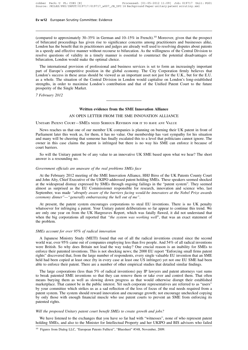(compared to approximately 30–35% in German and 10–15% in French).<sup>10</sup> Moreover, given that the prospect of bifurcated proceedings has given rise to significance concerns among practitioners and businesses alike, London has the benefit that its practitioners and judges are already well used to resolving disputes about patents in a speedy and effective manner without recourse to bifurcation. As the willingness of the Central Division to resolve questions of validity in a timely manner is essential to counteract the potential disadvantages of bifurcation, London would make the optimal choice.

The international provision of professional and business services is set to form an increasingly important part of Europe's competitive position in the global economy. The City Corporation firmly believes that London's success in these areas should be viewed as an important asset not just for the U.K., but for the E.U. as a whole. The situation of the Central Division in London would capitalise on London's long-established strengths, in order to maximise London's contribution and that of the Unified Patent Court to the future prosperity of the Single Market.

*7 February 2012*

#### **Written evidence from the SME Innovation Alliance**

#### AN OPEN LETTER FROM THE SME INNOVATION ALLIANCE

Unitary Patent Court—SMEs need Serious Revision for it to have any Value

News reaches us that one of our member UK companies is planning on burning their UK patent in front of Parliament later this week as, for them, it has no value. Our membership has vast sympathy for his situation and many will be cheering that someone has finally escalated this to a level that politicians cannot ignore. The owner in this case claims the patent is infringed but there is no way his SME can enforce it because of court barriers.

So will the Unitary patent be of any value to an innovative UK SME based upon what we hear? The short answer is a resounding no.

#### *Government officials are unaware of the real problems SMEs face*

At the February 2012 meeting of the SME Innovation Alliance, HHJ Birss of the UK Patents County Court and John Alty, Chief Executive of the UKIPO addressed patent holding SMEs. These speakers seemed shocked at the widespread dismay expressed by SMEs through ongoing failings in the "patent system". They seemed almost as surprised as the EU Commissioner responsible for research, innovation and science who, last September, was made *"abruptly aware of the barriers facing would-be innovators at the Nobel Prize awards ceremony dinner"—"generally embarrassing the hell out of me"*.

At present, the patent system encourages corporations to steal EU inventions. There is no UK penalty whatsoever for infringing a patent. Your Unitary patent deliberations so far appear to continue this trend. We are only one year on from the UK Hargreaves Report, which was fatally flawed, it did not understand that when the big corporations all reported that *"the system was working well*", that was an exact statement of the problem.

#### *SMEs account for over 95% of radical innovation*

A Japanese Ministry Study (METI) found that out of all the radical inventions created since the second world war, over 95% came out of companies employing less than five people. And 54% of all radical inventions were British. So why does Britain not lead the way today? One crucial reason is an inability for SMEs to enforce their patented inventions. This is not shocking news; the 2000 EU report "Enforcing small firms patent rights" discovered that, from the large number of respondents, every single valuable EU invention that an SME held had been copied at least once (by in every case at least one US infringer) yet not one EU SME had been able to enforce their patent. There are a number of other empirical studies that detailed similar findings.

The large corporations (less than 5% of radical inventions) pay IP lawyers and patent attorneys vast sums to break patented SME inventions so that they can remove them or take over and control them. That often means burying them as well as slowing down progress as that would otherwise disrupt their established marketplace. That cannot be in the public interest. Yet such corporate representatives are referred to as "users" by your committee which strikes us as a sad reflection of the loss of focus of the real needs required from a patent system. The system should reward innovation and encourage growth; not encourage unchecked copying by only those with enough financial muscle who use patent courts to prevent an SME from enforcing its patented rights.

#### *Will the proposed Unitary patent court benefit SMEs to create growth and jobs?*

We have listened to the exchanges that you have so far had with "witnesses", none of who represent patent holding SMEs, and also to the Minister for Intellectual Property and her UKIPO and BIS advisors who failed

<sup>&</sup>lt;sup>10</sup> Figures from Dialog LLC, "European Patents Fulltext", "Bluesheet" #348, November, 2009.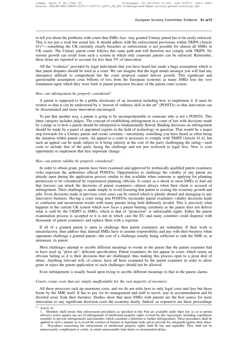to tell you about the problems with courts that SMEs face. Any granted Unitary patent has to be easily enforced. This is not just a wish but actual law. It should adhere with the enforcement provisions within TRIPS (Article  $41$ <sup> $11$ </sup>—something the UK currently clearly breaches as enforcement is not possible for almost all SMEs in UK courts. The Unitary patent court follows this same path and will therefore not comply with TRIPS. No serious growth can result from such a system in which only corporate patents can be enforced. Remember, these firms are reported to account for less than 5% of innovation.

All the "evidence" provided by legal individuals that you have heard has made a huge assumption which is that patent disputes should be tried in a court. We can imagine that the legal minds amongst you will find any alternative difficult to comprehend but the court proposal cannot deliver growth. This significant and questionable assumption costs billions of loss from the European economy as many SMEs lose the very foundation upon which they were built ie patent protection because of the patent court system.

#### *How can infringement be properly considered?*

A patent is supposed to be a public disclosure of an invention including how to implement it. It must be written so that it can be understood by a "person of ordinary skill in the art" (POSITA) so that innovation can be disseminated and more innovation encouraged.

To put that another way, a patent is going to be incomprehensible to someone who is not a POSITA. This latter category includes judges. The concept of establishing infringement in a court of law with decisions made by a judge as to how a patent should be interpreted is fundamentally flawed. Binding decisions on infringement should be made by a panel of appointed experts in the field of technology in question. That would be a major step forwards for a Unitary patent and create certainty—uncertainty something you have heard as often being the situation within patent courts. An appeal to a court is necessary to comply with TRIPS (Article 41.4), but such an appeal can be made subject to it being entirely at the cost of the party challenging the ruling—such costs to include that of the party facing the challenge and not just restricted to legal fees. Now is your opportunity to implement that first important change.

#### *How can patent validity be properly considered?*

In order to obtain grant, patents have been examined and approved by technically qualified patent examiners (who represent the authorities official POSITA). Opportunities to challenge the validity of any patent are already open during the application process similar to that available when someone is applying for planning permission to be considered by experienced planning officials. It comes as a shock to most SMEs to find out that lawyers can attack the decisions of patent examiners—almost always when their client is accused of infringement. Their challenge is made simply to avoid licensing that patent ie costing the economy growth and jobs. Even decisions made in previous court cases can be retried which is plainly absurd and damaging to any innovative business. Having a court using non POSITAs reconsider patent examiners validity decisions leads to confusion and inconsistent results with many patents being held dubiously invalid. This is precisely what happens in the current UK system which now faces a patent burning ceremony as the patent does not deliver what is sold by the UKIPO to SMEs, which is that of "protection" ie enforceable rights. Either the patent examination process is accepted or it is not in which case the EU and many countries could dispense with thousands of patent examiners and replace them with a registrar.

If all of a granted patent is open to challenge then patent examiners are redundant. If their work is unsatisfactory, then address that. Instead SMEs have to assume responsibility and pay with their business when opponents challenge a granted patent—the cost of a challenge usually being sufficient to sink the SME or, at minimum, its patent.

Most challenges attempt to ascribe different meanings to words in the patent that the patent examiner had to have used eg "prior art", deficient specification. Patent examiners do not appear in court, which seems an obvious failing as it is their decisions that are challenged, thus making this process open to a great deal of abuse. Anything relevant will, of course, have all been examined by the patent examiner in order to allow grant or reject the patent application so such challenges should not be allowed.

Even infringement is usually based upon trying to ascribe different meanings to that in the patent claims.

#### *Courts create costs that are simply unaffordable for the vast majority of inventors*

All these processes rack up enormous costs, and we do not refer here to only legal costs and fees but those borne by the SME itself. It has to pay for its management and staff to travel, stay in accommodation and be diverted away from their business. Studies show that most SMEs with patents are the best source for more innovation so any significant diversion costs the economy dearly. Indeed, so expensive are these proceedings

<sup>11</sup> *Article 41*

<sup>1.</sup> Members shall ensure that enforcement procedures as specified in this Part are available under their law so as to permit effective action against any act of infringement of intellectual property rights covered by this Agreement, including expeditious remedies to prevent infringements and remedies which constitute a deterrent to further infringements. These procedures shall be applied in such a manner as to avoid the creation of barriers to legitimate trade and to provide for safeguards against their abuse. 2. Procedures concerning the enforcement of intellectual property rights shall be fair and equitable. They shall not be unnecessarily complicated or costly, or entail unreasonable time-limits or unwarranted delays.